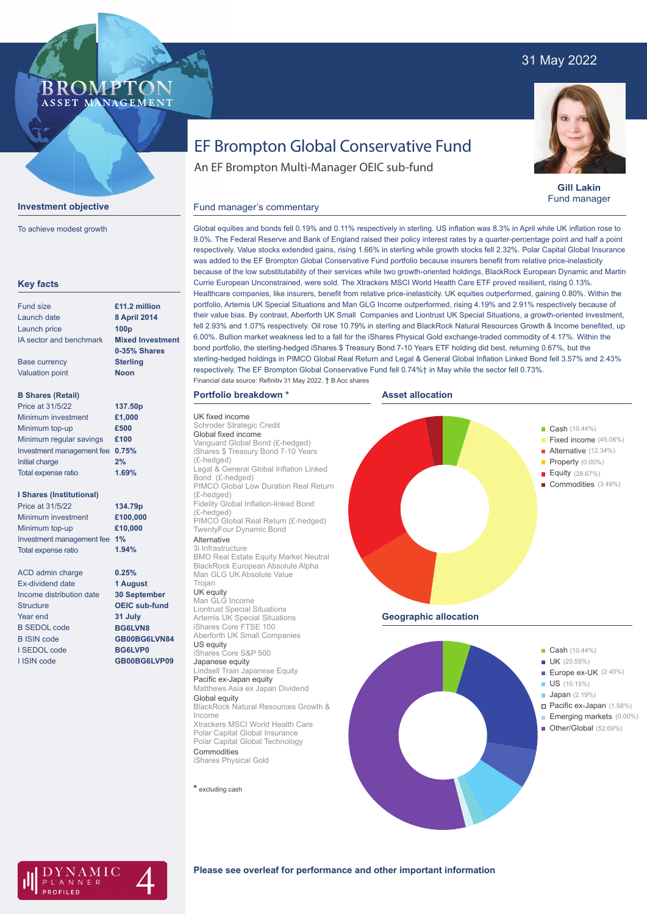## 31 May 2022



**Gill Lakin** Fund manager

# EF Brompton Global Conservative Fund

An EF Brompton Multi-Manager OEIC sub-fund

### Fund manager's commentary



**Investment objective**

**BROMP** 

ASSET MANAGEMENT

To achieve modest growth

Global equities and bonds fell 0.19% and 0.11% respectively in sterling. US inflation was 8.3% in April while UK inflation rose to 9.0%. The Federal Reserve and Bank of England raised their policy interest rates by a quarter-percentage point and half a point respectively. Value stocks extended gains, rising 1.66% in sterling while growth stocks fell 2.32%. Polar Capital Global Insurance was added to the EF Brompton Global Conservative Fund portfolio because insurers benefit from relative price-inelasticity because of the low substitutability of their services while two growth-oriented holdings, BlackRock European Dynamic and Martin Currie European Unconstrained, were sold. The Xtrackers MSCI World Health Care ETF proved resilient, rising 0.13%. Healthcare companies, like insurers, benefit from relative price-inelasticity. UK equities outperformed, gaining 0.80%. Within the portfolio, Artemis UK Special Situations and Man GLG Income outperformed, rising 4.19% and 2.91% respectively because of their value bias. By contrast, Aberforth UK Small Companies and Liontrust UK Special Situations, a growth-oriented investment, fell 2.93% and 1.07% respectively. Oil rose 10.79% in sterling and BlackRock Natural Resources Growth & Income benefited, up 6.00%. Bullion market weakness led to a fall for the iShares Physical Gold exchange-traded commodity of 4.17%. Within the bond portfolio, the sterling-hedged iShares \$ Treasury Bond 7-10 Years ETF holding did best, returning 0.67%, but the sterling-hedged holdings in PIMCO Global Real Return and Legal & General Global Inflation Linked Bond fell 3.57% and 2.43% respectively. The EF Brompton Global Conservative Fund fell 0.74%† in May while the sector fell 0.73%. Financial data source: Refinitiv 31 May 2022. † B Acc shares

## **Portfolio breakdown \***

UK fixed income Schroder Strategic Credit Global fixed income Vanguard Global Bond (£-hedged) iShares \$ Treasury Bond 7-10 Years (£-hedged) Legal & General Global Inflation Linked Bond (£-hedged) PIMCO Global Low Duration Real Return (£-hedged) Fidelity Global Inflation-linked Bond (£-hedged) PIMCO Global Real Return (£-hedged) TwentyFour Dynamic Bond Alternative

#### 3i Infrastructure

BMO Real Estate Equity Market Neutral BlackRock European Absolute Alpha Man GLG UK Absolute Value Trojan

UK equity Man GLG Income Liontrust Special Situations Artemis UK Special Situations iShares Core FTSE 100 Aberforth UK Small Companies US equity iShares Core S&P 500 Japanese equity Lindsell Train Japanese Equity Pacific ex-Japan equity Matthews Asia ex Japan Dividend Global equity BlackRock Natural Resources Growth & Income Xtrackers MSCI World Health Care Polar Capital Global Insurance Polar Capital Global Technology Commodities iShares Physical Gold

**\*** excluding cash







## **Please see overleaf for performance and other important information**